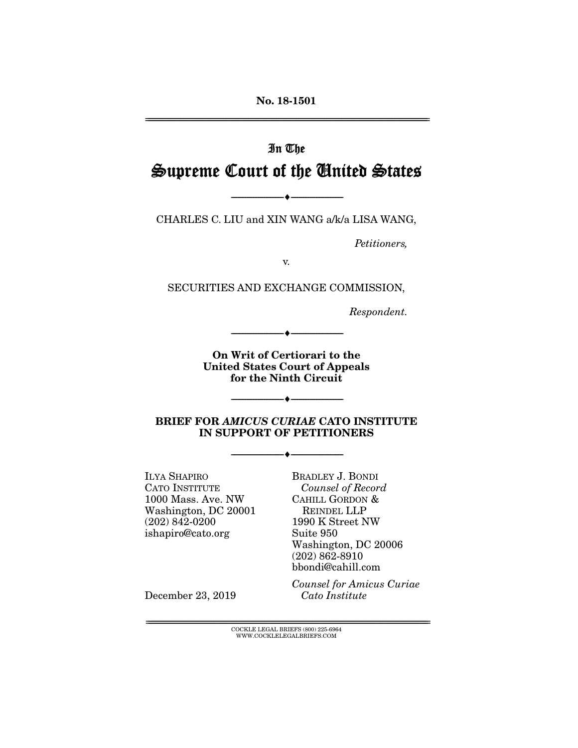No. 18-1501

================================================================================================================

# In The Supreme Court of the United States

CHARLES C. LIU and XIN WANG a/k/a LISA WANG,

--------------------------------- ---------------------------------

*Petitioners,* 

v.

SECURITIES AND EXCHANGE COMMISSION,

*Respondent.* 

On Writ of Certiorari to the United States Court of Appeals for the Ninth Circuit

--------------------------------- ---------------------------------

BRIEF FOR *AMICUS CURIAE* CATO INSTITUTE IN SUPPORT OF PETITIONERS

--------------------------------- ---------------------------------

--------------------------------- ---------------------------------

ILYA SHAPIRO CATO INSTITUTE 1000 Mass. Ave. NW Washington, DC 20001 (202) 842-0200 ishapiro@cato.org

BRADLEY J. BONDI *Counsel of Record*  CAHILL GORDON & REINDEL LLP 1990 K Street NW Suite 950 Washington, DC 20006 (202) 862-8910 bbondi@cahill.com

December 23, 2019

*Counsel for Amicus Curiae Cato Institute* 

 $\text{COCKLE LEGAL BRIEFS}$  (800) 225-6964 WWW.COCKLELEGALBRIEFS.COM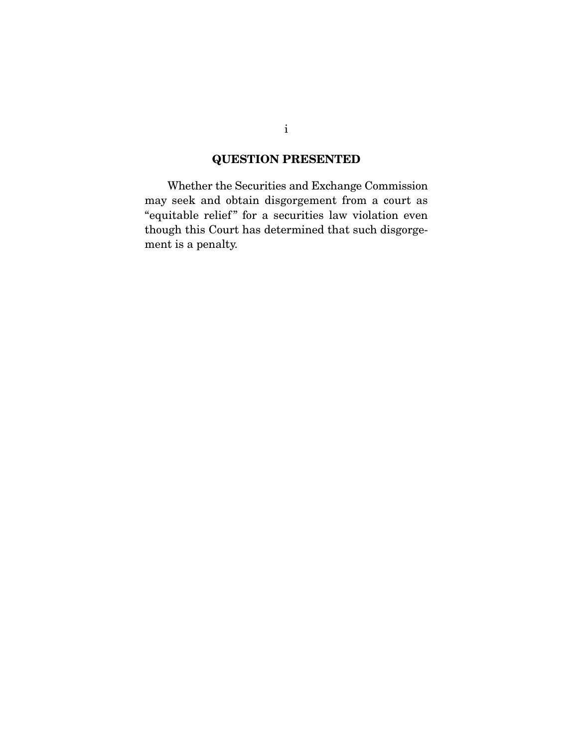### QUESTION PRESENTED

 Whether the Securities and Exchange Commission may seek and obtain disgorgement from a court as "equitable relief" for a securities law violation even though this Court has determined that such disgorgement is a penalty.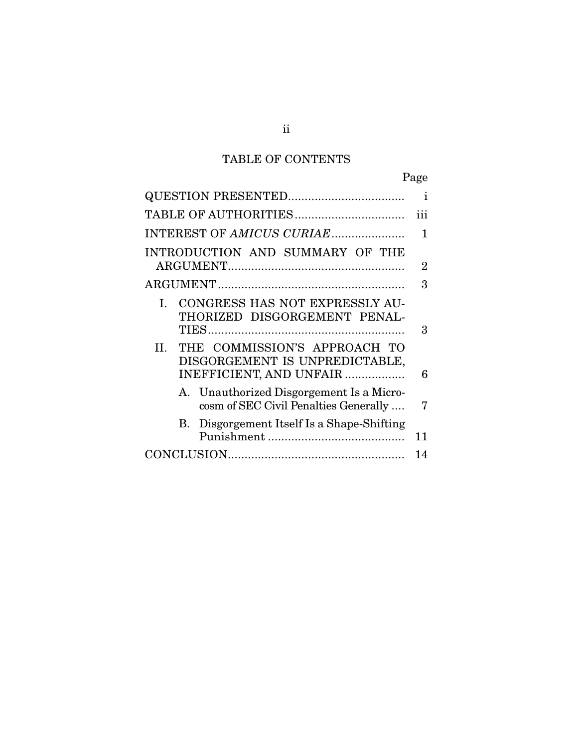# TABLE OF CONTENTS

|     |                                                                                           | ı              |
|-----|-------------------------------------------------------------------------------------------|----------------|
|     |                                                                                           | 111            |
|     | INTEREST OF AMICUS CURIAE                                                                 | 1              |
|     | INTRODUCTION AND SUMMARY OF THE                                                           | $\overline{2}$ |
|     |                                                                                           | 3              |
| L.  | CONGRESS HAS NOT EXPRESSLY AU-<br>THORIZED DISGORGEMENT PENAL-                            | 3              |
| II. | THE COMMISSION'S APPROACH TO<br>DISGORGEMENT IS UNPREDICTABLE,<br>INEFFICIENT, AND UNFAIR | 6              |
|     | A. Unauthorized Disgorgement Is a Micro-<br>cosm of SEC Civil Penalties Generally         | 7              |
|     | B. Disgorgement Itself Is a Shape-Shifting                                                | 11             |
|     |                                                                                           | 14             |
|     |                                                                                           |                |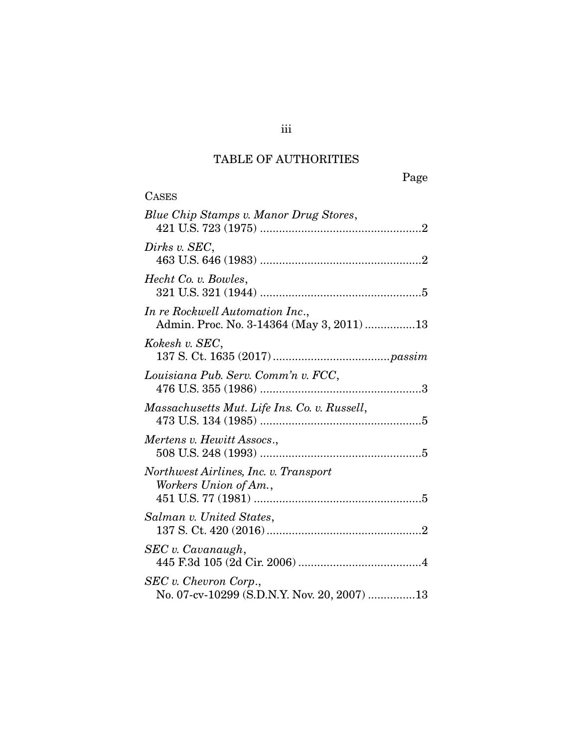## TABLE OF AUTHORITIES

| <b>CASES</b>                                                                 |
|------------------------------------------------------------------------------|
| Blue Chip Stamps v. Manor Drug Stores,                                       |
| Dirks v. SEC,                                                                |
| Hecht Co. v. Bowles,                                                         |
| In re Rockwell Automation Inc.,<br>Admin. Proc. No. 3-14364 (May 3, 2011) 13 |
| Kokesh v. SEC,                                                               |
| Louisiana Pub. Serv. Comm'n v. FCC,                                          |
| Massachusetts Mut. Life Ins. Co. v. Russell,                                 |
| Mertens v. Hewitt Assocs.,                                                   |
| Northwest Airlines, Inc. v. Transport<br>Workers Union of Am.,               |
| Salman v. United States,                                                     |
| SEC v. Cavanaugh,                                                            |
| SEC v. Chevron Corp.,<br>No. 07-cv-10299 (S.D.N.Y. Nov. 20, 2007) 13         |

iii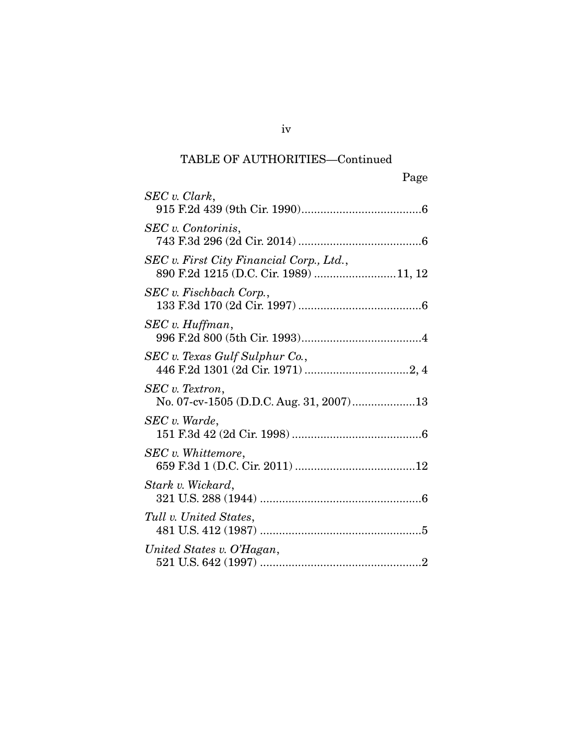|                                                                                   | Page |
|-----------------------------------------------------------------------------------|------|
| SEC v. Clark,                                                                     |      |
| SEC v. Contorinis,                                                                |      |
| SEC v. First City Financial Corp., Ltd.,<br>890 F.2d 1215 (D.C. Cir. 1989) 11, 12 |      |
| SEC v. Fischbach Corp.,                                                           |      |
| SEC v. Huffman,                                                                   |      |
| SEC v. Texas Gulf Sulphur Co.,                                                    |      |
| SEC v. Textron,                                                                   |      |
| SEC v. Warde,                                                                     |      |
| SEC v. Whittemore,                                                                |      |
| Stark v. Wickard,                                                                 |      |
| Tull v. United States,                                                            |      |
| United States v. O'Hagan,                                                         |      |

iv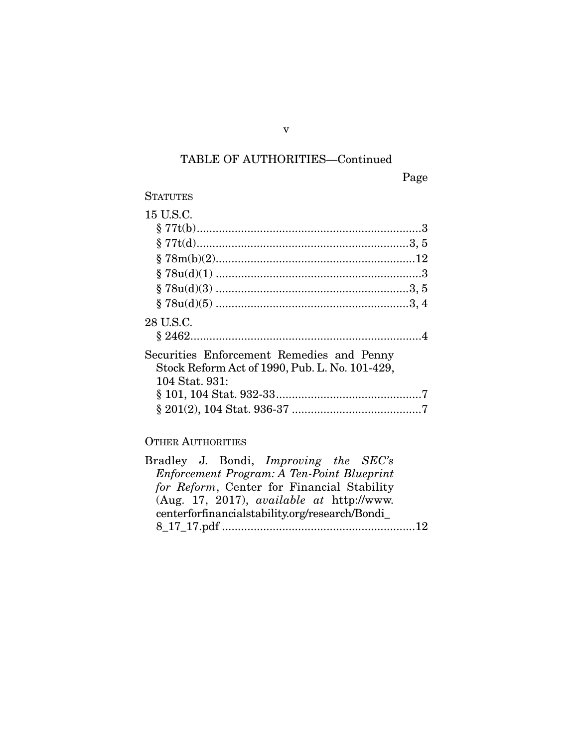Page

| 15 U.S.C.                                      |  |
|------------------------------------------------|--|
|                                                |  |
|                                                |  |
|                                                |  |
|                                                |  |
|                                                |  |
|                                                |  |
| 28 U.S.C.                                      |  |
|                                                |  |
| Securities Enforcement Remedies and Penny      |  |
| Stock Reform Act of 1990, Pub. L. No. 101-429, |  |
| 104 Stat. 931:                                 |  |
|                                                |  |
|                                                |  |

### OTHER AUTHORITIES

| Bradley J. Bondi, <i>Improving the SEC's</i>     |  |
|--------------------------------------------------|--|
| Enforcement Program: A Ten-Point Blueprint       |  |
| for Reform, Center for Financial Stability       |  |
| (Aug. 17, 2017), <i>available at http://www.</i> |  |
| centerforfinancialstability.org/research/Bondi   |  |
|                                                  |  |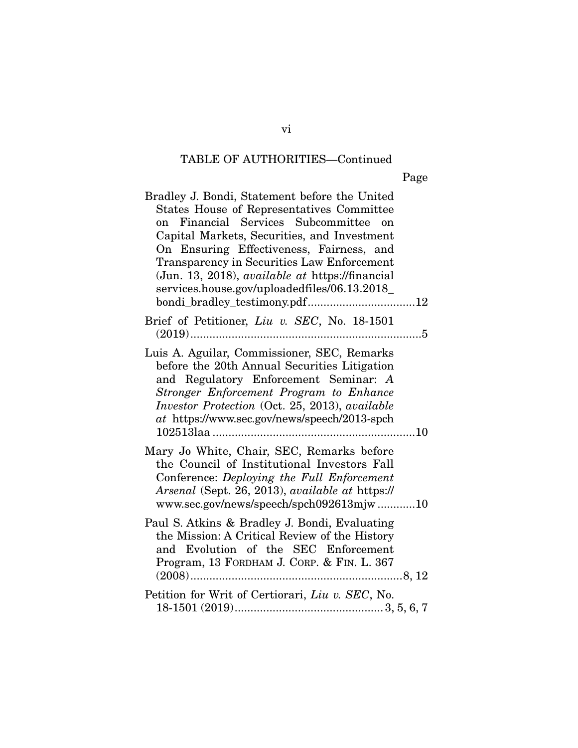| Bradley J. Bondi, Statement before the United<br><b>States House of Representatives Committee</b><br>Financial Services Subcommittee on<br>on<br>Capital Markets, Securities, and Investment<br>On Ensuring Effectiveness, Fairness, and<br>Transparency in Securities Law Enforcement<br>(Jun. 13, 2018), <i>available at https://financial</i><br>services.house.gov/uploadedfiles/06.13.2018_ |
|--------------------------------------------------------------------------------------------------------------------------------------------------------------------------------------------------------------------------------------------------------------------------------------------------------------------------------------------------------------------------------------------------|
| Brief of Petitioner, Liu v. SEC, No. 18-1501                                                                                                                                                                                                                                                                                                                                                     |
| Luis A. Aguilar, Commissioner, SEC, Remarks<br>before the 20th Annual Securities Litigation<br>and Regulatory Enforcement Seminar: A<br>Stronger Enforcement Program to Enhance<br>Investor Protection (Oct. 25, 2013), available<br>at https://www.sec.gov/news/speech/2013-spch<br>102513laa                                                                                                   |
| Mary Jo White, Chair, SEC, Remarks before<br>the Council of Institutional Investors Fall<br>Conference: Deploying the Full Enforcement<br>Arsenal (Sept. 26, 2013), available at https://<br>www.sec.gov/news/speech/spch092613mjw10                                                                                                                                                             |
| Paul S. Atkins & Bradley J. Bondi, Evaluating<br>the Mission: A Critical Review of the History<br>and Evolution of the SEC Enforcement<br>Program, 13 FORDHAM J. CORP. & FIN. L. 367                                                                                                                                                                                                             |
| Petition for Writ of Certiorari, Liu v. SEC, No.                                                                                                                                                                                                                                                                                                                                                 |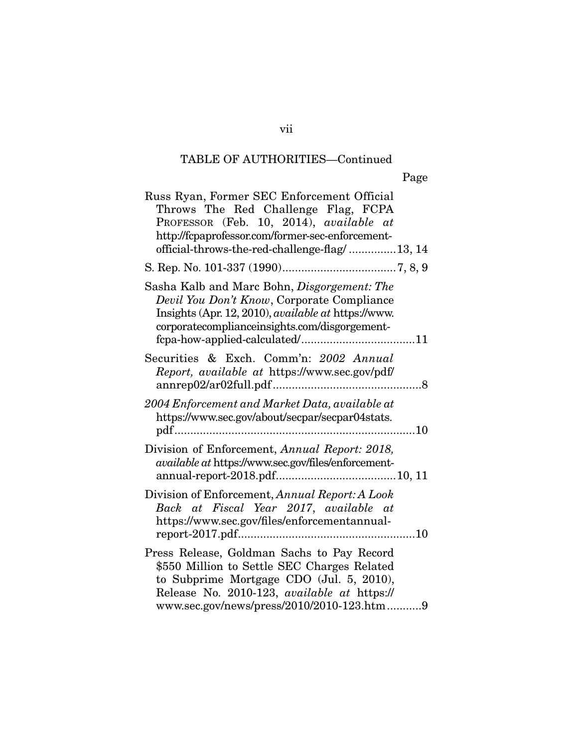|--|

| Russ Ryan, Former SEC Enforcement Official<br>Throws The Red Challenge Flag, FCPA<br>PROFESSOR (Feb. 10, 2014), available at<br>http://fcpaprofessor.com/former-sec-enforcement-<br>official-throws-the-red-challenge-flag/13, 14  |
|------------------------------------------------------------------------------------------------------------------------------------------------------------------------------------------------------------------------------------|
|                                                                                                                                                                                                                                    |
| Sasha Kalb and Marc Bohn, <i>Disgorgement: The</i><br>Devil You Don't Know, Corporate Compliance<br>Insights (Apr. 12, 2010), available at https://www.<br>corporatecomplianceinsights.com/disgorgement-                           |
| Securities & Exch. Comm'n: 2002 Annual<br>Report, available at https://www.sec.gov/pdf/<br>annrep02/ar02full.pdf                                                                                                                   |
| 2004 Enforcement and Market Data, available at<br>https://www.sec.gov/about/secpar/secpar04stats.<br>pdf<br>10                                                                                                                     |
| Division of Enforcement, Annual Report: 2018,<br>available at https://www.sec.gov/files/enforcement-                                                                                                                               |
| Division of Enforcement, Annual Report: A Look<br>Back at Fiscal Year 2017, available at<br>https://www.sec.gov/files/enforcementannual-                                                                                           |
| Press Release, Goldman Sachs to Pay Record<br>\$550 Million to Settle SEC Charges Related<br>to Subprime Mortgage CDO (Jul. 5, 2010),<br>Release No. 2010-123, available at https://<br>www.sec.gov/news/press/2010/2010-123.htm 9 |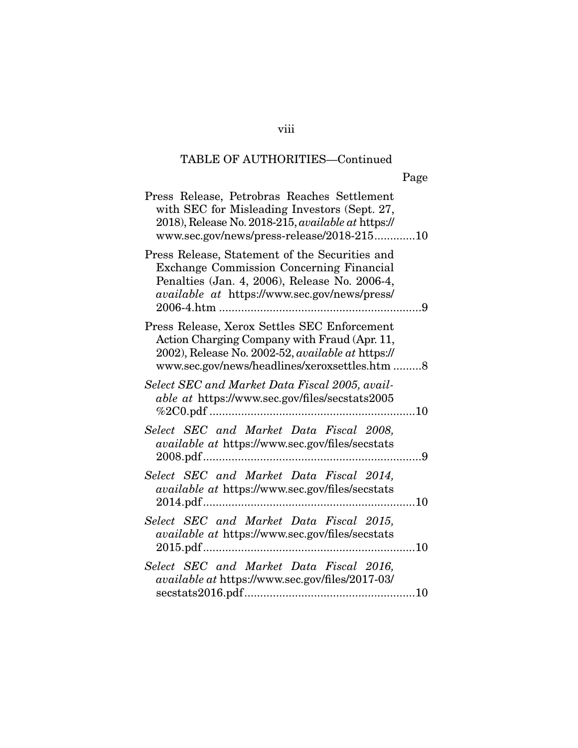| Press Release, Petrobras Reaches Settlement<br>with SEC for Misleading Investors (Sept. 27,<br>2018), Release No. 2018-215, available at https://<br>www.sec.gov/news/press-release/2018-21510     |
|----------------------------------------------------------------------------------------------------------------------------------------------------------------------------------------------------|
| Press Release, Statement of the Securities and<br><b>Exchange Commission Concerning Financial</b><br>Penalties (Jan. 4, 2006), Release No. 2006-4,<br>available at https://www.sec.gov/news/press/ |
| Press Release, Xerox Settles SEC Enforcement<br>Action Charging Company with Fraud (Apr. 11,<br>2002), Release No. 2002-52, available at https://<br>www.sec.gov/news/headlines/xeroxsettles.htm 8 |
| Select SEC and Market Data Fiscal 2005, avail-<br>able at https://www.sec.gov/files/secstats2005<br>10                                                                                             |
| Select SEC and Market Data Fiscal 2008,<br>available at https://www.sec.gov/files/secstats                                                                                                         |
| Select SEC and Market Data Fiscal 2014,<br><i>available at https://www.sec.gov/files/secstats</i>                                                                                                  |
| Select SEC and Market Data Fiscal 2015,<br>available at https://www.sec.gov/files/secstats                                                                                                         |
| Select SEC and Market Data Fiscal 2016,<br>available at https://www.sec.gov/files/2017-03/                                                                                                         |

viii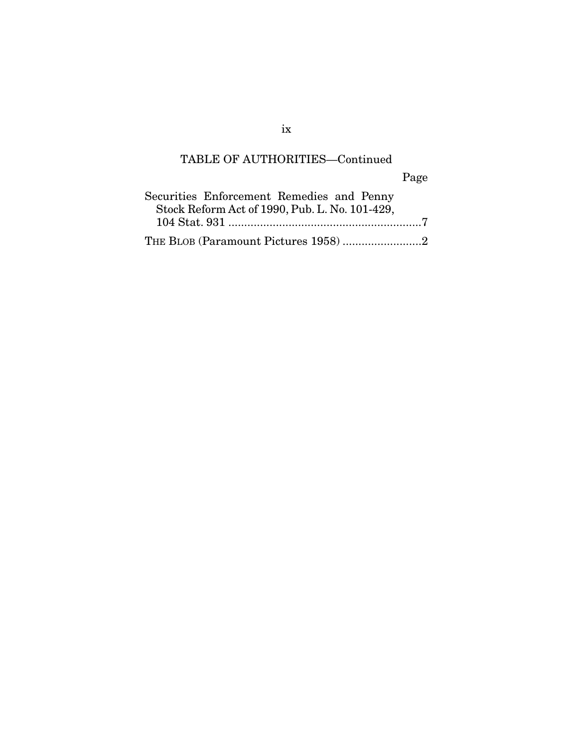Page

| Securities Enforcement Remedies and Penny      |
|------------------------------------------------|
| Stock Reform Act of 1990, Pub. L. No. 101-429, |
|                                                |
| THE BLOB (Paramount Pictures 1958)2            |

ix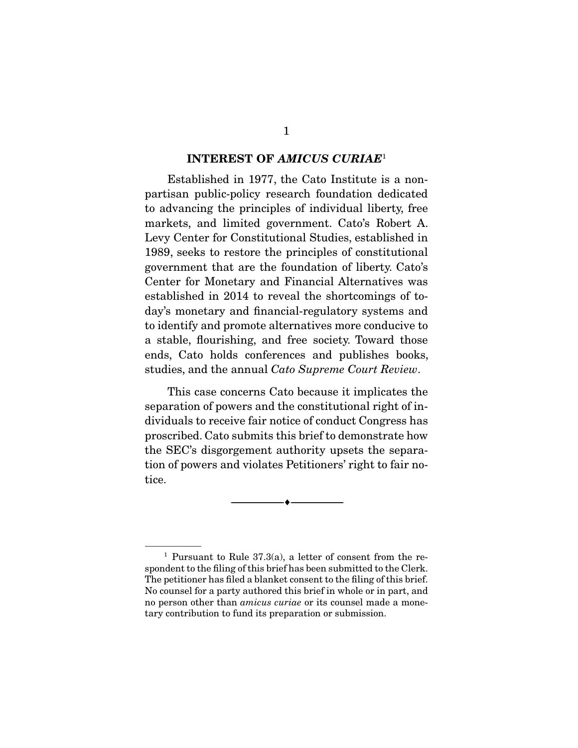#### INTEREST OF *AMICUS CURIAE*<sup>1</sup>

 Established in 1977, the Cato Institute is a nonpartisan public-policy research foundation dedicated to advancing the principles of individual liberty, free markets, and limited government. Cato's Robert A. Levy Center for Constitutional Studies, established in 1989, seeks to restore the principles of constitutional government that are the foundation of liberty. Cato's Center for Monetary and Financial Alternatives was established in 2014 to reveal the shortcomings of today's monetary and financial-regulatory systems and to identify and promote alternatives more conducive to a stable, flourishing, and free society. Toward those ends, Cato holds conferences and publishes books, studies, and the annual *Cato Supreme Court Review*.

 This case concerns Cato because it implicates the separation of powers and the constitutional right of individuals to receive fair notice of conduct Congress has proscribed. Cato submits this brief to demonstrate how the SEC's disgorgement authority upsets the separation of powers and violates Petitioners' right to fair notice.

--------------------------------- ---------------------------------

<sup>&</sup>lt;sup>1</sup> Pursuant to Rule 37.3(a), a letter of consent from the respondent to the filing of this brief has been submitted to the Clerk. The petitioner has filed a blanket consent to the filing of this brief. No counsel for a party authored this brief in whole or in part, and no person other than *amicus curiae* or its counsel made a monetary contribution to fund its preparation or submission.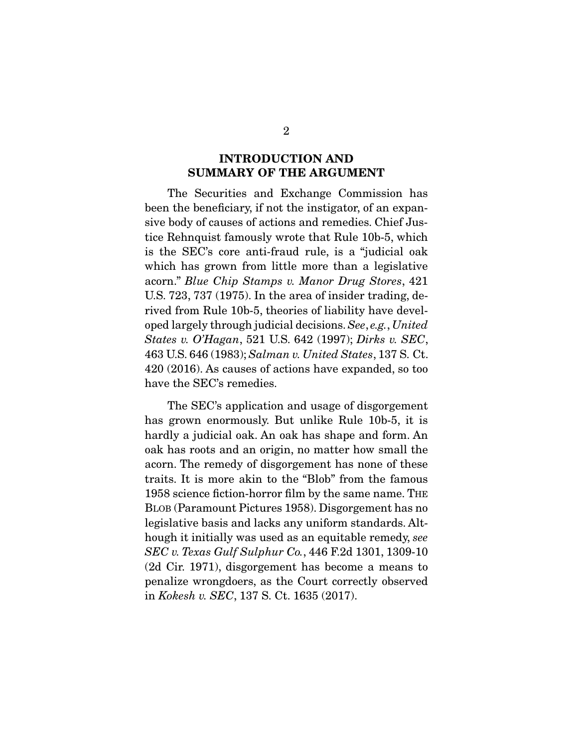### INTRODUCTION AND SUMMARY OF THE ARGUMENT

 The Securities and Exchange Commission has been the beneficiary, if not the instigator, of an expansive body of causes of actions and remedies. Chief Justice Rehnquist famously wrote that Rule 10b-5, which is the SEC's core anti-fraud rule, is a "judicial oak which has grown from little more than a legislative acorn." *Blue Chip Stamps v. Manor Drug Stores*, 421 U.S. 723, 737 (1975). In the area of insider trading, derived from Rule 10b-5, theories of liability have developed largely through judicial decisions. *See*, *e.g.*, *United States v. O'Hagan*, 521 U.S. 642 (1997); *Dirks v. SEC*, 463 U.S. 646 (1983); *Salman v. United States*, 137 S. Ct. 420 (2016). As causes of actions have expanded, so too have the SEC's remedies.

 The SEC's application and usage of disgorgement has grown enormously. But unlike Rule 10b-5, it is hardly a judicial oak. An oak has shape and form. An oak has roots and an origin, no matter how small the acorn. The remedy of disgorgement has none of these traits. It is more akin to the "Blob" from the famous 1958 science fiction-horror film by the same name. THE BLOB (Paramount Pictures 1958). Disgorgement has no legislative basis and lacks any uniform standards. Although it initially was used as an equitable remedy, *see SEC v. Texas Gulf Sulphur Co.*, 446 F.2d 1301, 1309-10 (2d Cir. 1971), disgorgement has become a means to penalize wrongdoers, as the Court correctly observed in *Kokesh v. SEC*, 137 S. Ct. 1635 (2017).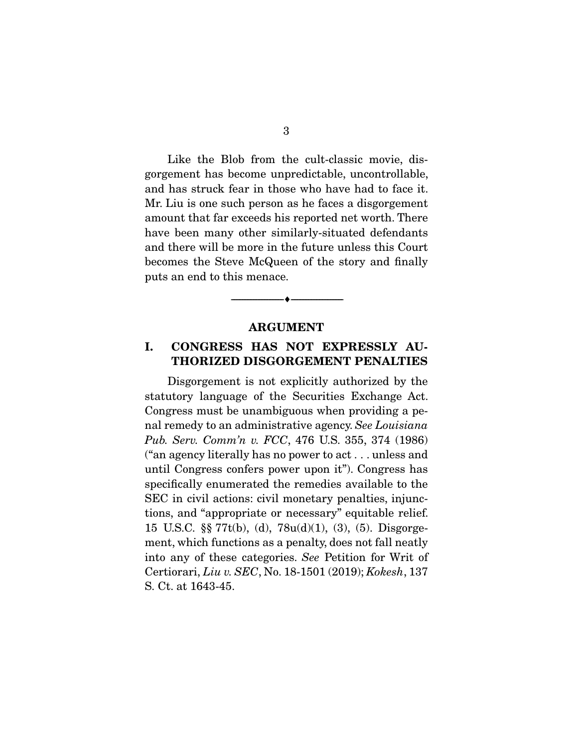Like the Blob from the cult-classic movie, disgorgement has become unpredictable, uncontrollable, and has struck fear in those who have had to face it. Mr. Liu is one such person as he faces a disgorgement amount that far exceeds his reported net worth. There have been many other similarly-situated defendants and there will be more in the future unless this Court becomes the Steve McQueen of the story and finally puts an end to this menace.

#### ARGUMENT

--------------------------------- ---------------------------------

### I. CONGRESS HAS NOT EXPRESSLY AU-THORIZED DISGORGEMENT PENALTIES

 Disgorgement is not explicitly authorized by the statutory language of the Securities Exchange Act. Congress must be unambiguous when providing a penal remedy to an administrative agency. *See Louisiana Pub. Serv. Comm'n v. FCC*, 476 U.S. 355, 374 (1986) ("an agency literally has no power to act . . . unless and until Congress confers power upon it"). Congress has specifically enumerated the remedies available to the SEC in civil actions: civil monetary penalties, injunctions, and "appropriate or necessary" equitable relief. 15 U.S.C. §§ 77t(b), (d), 78u(d)(1), (3), (5). Disgorgement, which functions as a penalty, does not fall neatly into any of these categories. *See* Petition for Writ of Certiorari, *Liu v. SEC*, No. 18-1501 (2019); *Kokesh*, 137 S. Ct. at 1643-45.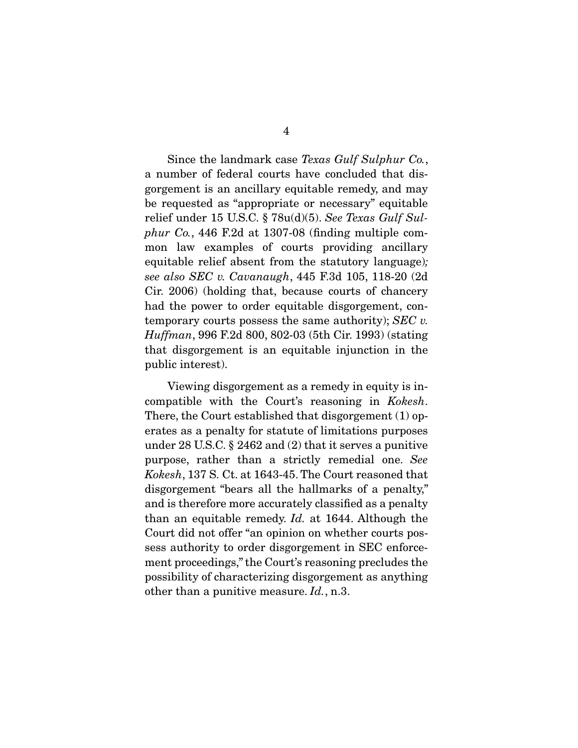Since the landmark case *Texas Gulf Sulphur Co.*, a number of federal courts have concluded that disgorgement is an ancillary equitable remedy, and may be requested as "appropriate or necessary" equitable relief under 15 U.S.C. § 78u(d)(5). *See Texas Gulf Sulphur Co.*, 446 F.2d at 1307-08 (finding multiple common law examples of courts providing ancillary equitable relief absent from the statutory language)*; see also SEC v. Cavanaugh*, 445 F.3d 105, 118-20 (2d Cir. 2006) (holding that, because courts of chancery had the power to order equitable disgorgement, contemporary courts possess the same authority); *SEC v. Huffman*, 996 F.2d 800, 802-03 (5th Cir. 1993) (stating

that disgorgement is an equitable injunction in the

public interest).

 Viewing disgorgement as a remedy in equity is incompatible with the Court's reasoning in *Kokesh*. There, the Court established that disgorgement (1) operates as a penalty for statute of limitations purposes under 28 U.S.C. § 2462 and (2) that it serves a punitive purpose, rather than a strictly remedial one. *See Kokesh*, 137 S. Ct. at 1643-45. The Court reasoned that disgorgement "bears all the hallmarks of a penalty," and is therefore more accurately classified as a penalty than an equitable remedy. *Id.* at 1644. Although the Court did not offer "an opinion on whether courts possess authority to order disgorgement in SEC enforcement proceedings," the Court's reasoning precludes the possibility of characterizing disgorgement as anything other than a punitive measure. *Id.*, n.3.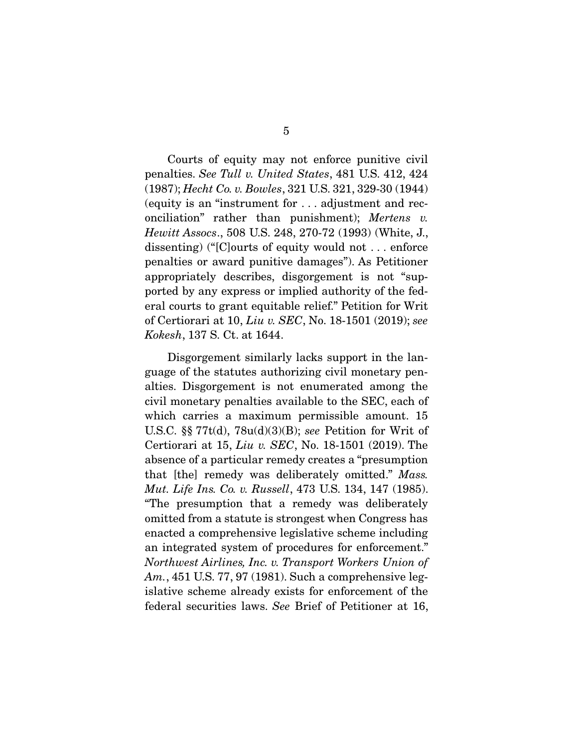Courts of equity may not enforce punitive civil penalties. *See Tull v. United States*, 481 U.S. 412, 424 (1987); *Hecht Co. v. Bowles*, 321 U.S. 321, 329-30 (1944) (equity is an "instrument for . . . adjustment and reconciliation" rather than punishment); *Mertens v. Hewitt Assocs*., 508 U.S. 248, 270-72 (1993) (White, J., dissenting) ("[C]ourts of equity would not . . . enforce penalties or award punitive damages"). As Petitioner appropriately describes, disgorgement is not "supported by any express or implied authority of the federal courts to grant equitable relief." Petition for Writ of Certiorari at 10, *Liu v. SEC*, No. 18-1501 (2019); *see Kokesh*, 137 S. Ct. at 1644.

 Disgorgement similarly lacks support in the language of the statutes authorizing civil monetary penalties. Disgorgement is not enumerated among the civil monetary penalties available to the SEC, each of which carries a maximum permissible amount. 15 U.S.C. §§ 77t(d), 78u(d)(3)(B); *see* Petition for Writ of Certiorari at 15, *Liu v. SEC*, No. 18-1501 (2019). The absence of a particular remedy creates a "presumption that [the] remedy was deliberately omitted." *Mass. Mut. Life Ins. Co. v. Russell*, 473 U.S. 134, 147 (1985). "The presumption that a remedy was deliberately omitted from a statute is strongest when Congress has enacted a comprehensive legislative scheme including an integrated system of procedures for enforcement." *Northwest Airlines, Inc. v. Transport Workers Union of Am.*, 451 U.S. 77, 97 (1981). Such a comprehensive legislative scheme already exists for enforcement of the federal securities laws. *See* Brief of Petitioner at 16,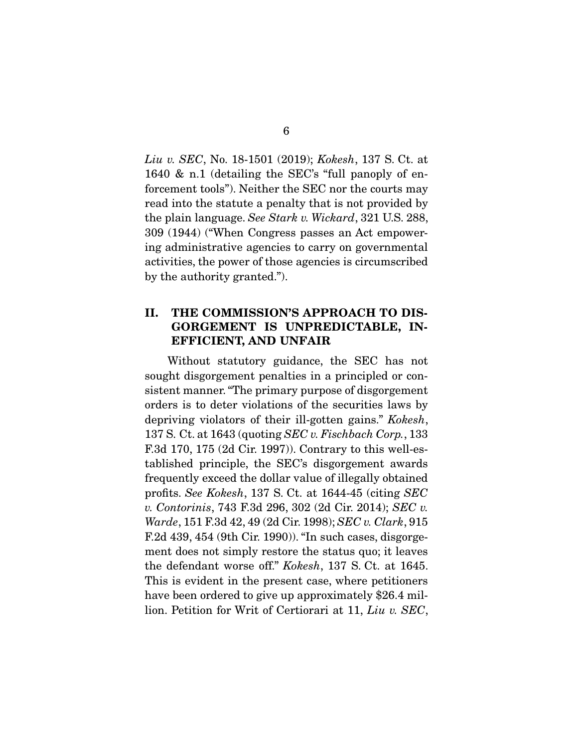*Liu v. SEC*, No. 18-1501 (2019); *Kokesh*, 137 S. Ct. at 1640 & n.1 (detailing the SEC's "full panoply of enforcement tools"). Neither the SEC nor the courts may read into the statute a penalty that is not provided by the plain language. *See Stark v. Wickard*, 321 U.S. 288, 309 (1944) ("When Congress passes an Act empowering administrative agencies to carry on governmental activities, the power of those agencies is circumscribed by the authority granted.").

### II. THE COMMISSION'S APPROACH TO DIS-GORGEMENT IS UNPREDICTABLE, IN-EFFICIENT, AND UNFAIR

 Without statutory guidance, the SEC has not sought disgorgement penalties in a principled or consistent manner. "The primary purpose of disgorgement orders is to deter violations of the securities laws by depriving violators of their ill-gotten gains." *Kokesh*, 137 S. Ct. at 1643 (quoting *SEC v. Fischbach Corp.*, 133 F.3d 170, 175 (2d Cir. 1997)). Contrary to this well-established principle, the SEC's disgorgement awards frequently exceed the dollar value of illegally obtained profits. *See Kokesh*, 137 S. Ct. at 1644-45 (citing *SEC v. Contorinis*, 743 F.3d 296, 302 (2d Cir. 2014); *SEC v. Warde*, 151 F.3d 42, 49 (2d Cir. 1998); *SEC v. Clark*, 915 F.2d 439, 454 (9th Cir. 1990)). "In such cases, disgorgement does not simply restore the status quo; it leaves the defendant worse off." *Kokesh*, 137 S. Ct. at 1645. This is evident in the present case, where petitioners have been ordered to give up approximately \$26.4 million. Petition for Writ of Certiorari at 11, *Liu v. SEC*,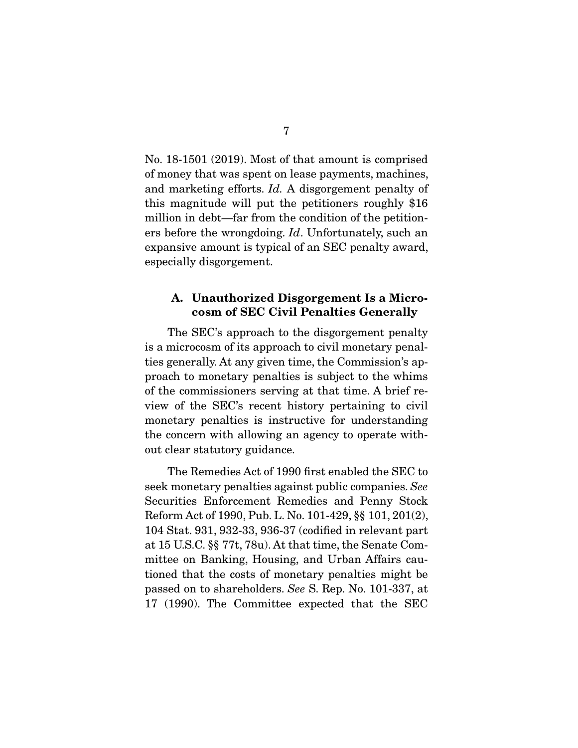No. 18-1501 (2019). Most of that amount is comprised of money that was spent on lease payments, machines, and marketing efforts. *Id.* A disgorgement penalty of this magnitude will put the petitioners roughly \$16 million in debt—far from the condition of the petitioners before the wrongdoing. *Id*. Unfortunately, such an expansive amount is typical of an SEC penalty award, especially disgorgement.

### A. Unauthorized Disgorgement Is a Microcosm of SEC Civil Penalties Generally

 The SEC's approach to the disgorgement penalty is a microcosm of its approach to civil monetary penalties generally. At any given time, the Commission's approach to monetary penalties is subject to the whims of the commissioners serving at that time. A brief review of the SEC's recent history pertaining to civil monetary penalties is instructive for understanding the concern with allowing an agency to operate without clear statutory guidance.

 The Remedies Act of 1990 first enabled the SEC to seek monetary penalties against public companies. *See* Securities Enforcement Remedies and Penny Stock Reform Act of 1990, Pub. L. No. 101-429, §§ 101, 201(2), 104 Stat. 931, 932-33, 936-37 (codified in relevant part at 15 U.S.C. §§ 77t, 78u). At that time, the Senate Committee on Banking, Housing, and Urban Affairs cautioned that the costs of monetary penalties might be passed on to shareholders. *See* S. Rep. No. 101-337, at 17 (1990). The Committee expected that the SEC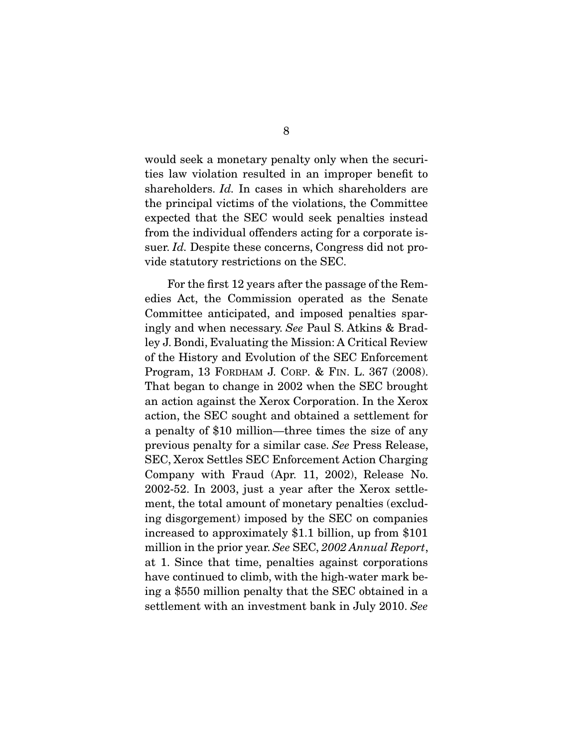would seek a monetary penalty only when the securities law violation resulted in an improper benefit to shareholders. *Id.* In cases in which shareholders are the principal victims of the violations, the Committee expected that the SEC would seek penalties instead from the individual offenders acting for a corporate issuer. *Id.* Despite these concerns, Congress did not provide statutory restrictions on the SEC.

 For the first 12 years after the passage of the Remedies Act, the Commission operated as the Senate Committee anticipated, and imposed penalties sparingly and when necessary. *See* Paul S. Atkins & Bradley J. Bondi, Evaluating the Mission: A Critical Review of the History and Evolution of the SEC Enforcement Program, 13 FORDHAM J. CORP. & FIN. L. 367 (2008). That began to change in 2002 when the SEC brought an action against the Xerox Corporation. In the Xerox action, the SEC sought and obtained a settlement for a penalty of \$10 million—three times the size of any previous penalty for a similar case. *See* Press Release, SEC, Xerox Settles SEC Enforcement Action Charging Company with Fraud (Apr. 11, 2002), Release No. 2002-52. In 2003, just a year after the Xerox settlement, the total amount of monetary penalties (excluding disgorgement) imposed by the SEC on companies increased to approximately \$1.1 billion, up from \$101 million in the prior year. *See* SEC, *2002 Annual Report*, at 1. Since that time, penalties against corporations have continued to climb, with the high-water mark being a \$550 million penalty that the SEC obtained in a settlement with an investment bank in July 2010. *See*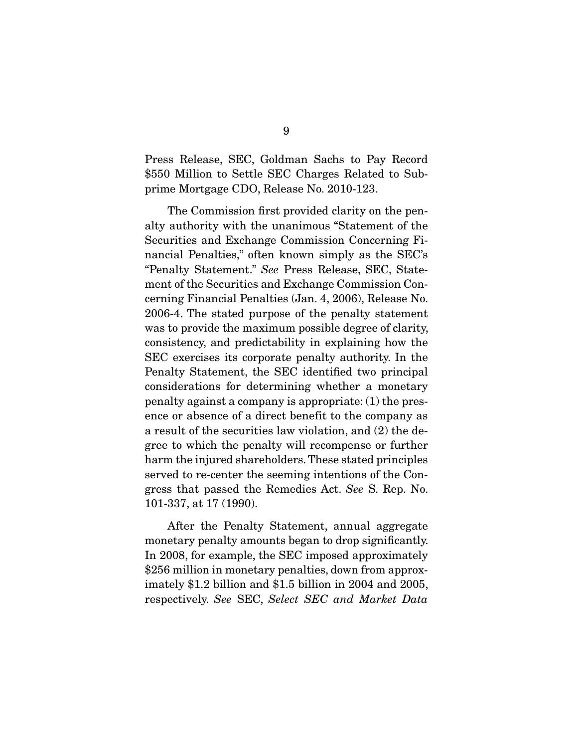Press Release, SEC, Goldman Sachs to Pay Record \$550 Million to Settle SEC Charges Related to Subprime Mortgage CDO, Release No. 2010-123.

 The Commission first provided clarity on the penalty authority with the unanimous "Statement of the Securities and Exchange Commission Concerning Financial Penalties," often known simply as the SEC's "Penalty Statement." *See* Press Release, SEC, Statement of the Securities and Exchange Commission Concerning Financial Penalties (Jan. 4, 2006), Release No. 2006-4. The stated purpose of the penalty statement was to provide the maximum possible degree of clarity, consistency, and predictability in explaining how the SEC exercises its corporate penalty authority. In the Penalty Statement, the SEC identified two principal considerations for determining whether a monetary penalty against a company is appropriate: (1) the presence or absence of a direct benefit to the company as a result of the securities law violation, and (2) the degree to which the penalty will recompense or further harm the injured shareholders. These stated principles served to re-center the seeming intentions of the Congress that passed the Remedies Act. *See* S. Rep. No. 101-337, at 17 (1990).

 After the Penalty Statement, annual aggregate monetary penalty amounts began to drop significantly. In 2008, for example, the SEC imposed approximately \$256 million in monetary penalties, down from approximately \$1.2 billion and \$1.5 billion in 2004 and 2005, respectively. *See* SEC, *Select SEC and Market Data*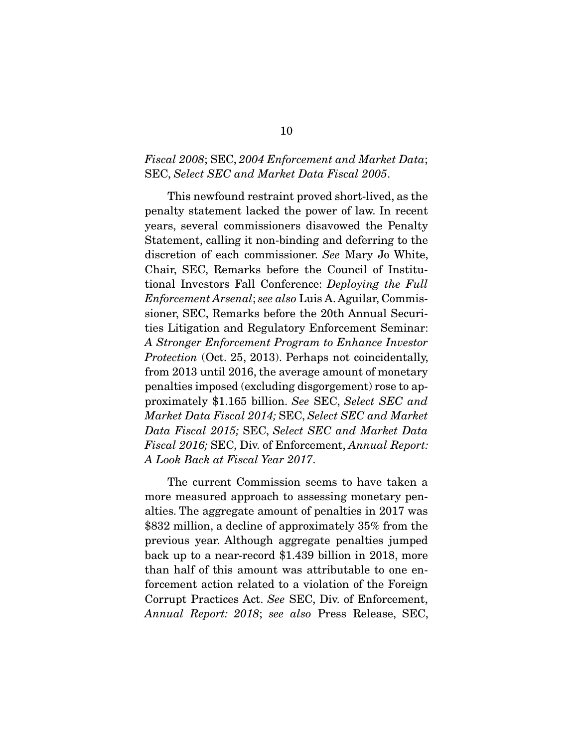### *Fiscal 2008*; SEC, *2004 Enforcement and Market Data*; SEC, *Select SEC and Market Data Fiscal 2005*.

 This newfound restraint proved short-lived, as the penalty statement lacked the power of law. In recent years, several commissioners disavowed the Penalty Statement, calling it non-binding and deferring to the discretion of each commissioner. *See* Mary Jo White, Chair, SEC, Remarks before the Council of Institutional Investors Fall Conference: *Deploying the Full Enforcement Arsenal*; *see also* Luis A. Aguilar, Commissioner, SEC, Remarks before the 20th Annual Securities Litigation and Regulatory Enforcement Seminar: *A Stronger Enforcement Program to Enhance Investor Protection* (Oct. 25, 2013). Perhaps not coincidentally, from 2013 until 2016, the average amount of monetary penalties imposed (excluding disgorgement) rose to approximately \$1.165 billion. *See* SEC, *Select SEC and Market Data Fiscal 2014;* SEC, *Select SEC and Market Data Fiscal 2015;* SEC, *Select SEC and Market Data Fiscal 2016;* SEC, Div. of Enforcement, *Annual Report: A Look Back at Fiscal Year 2017*.

 The current Commission seems to have taken a more measured approach to assessing monetary penalties. The aggregate amount of penalties in 2017 was \$832 million, a decline of approximately 35% from the previous year. Although aggregate penalties jumped back up to a near-record \$1.439 billion in 2018, more than half of this amount was attributable to one enforcement action related to a violation of the Foreign Corrupt Practices Act. *See* SEC, Div. of Enforcement, *Annual Report: 2018*; *see also* Press Release, SEC,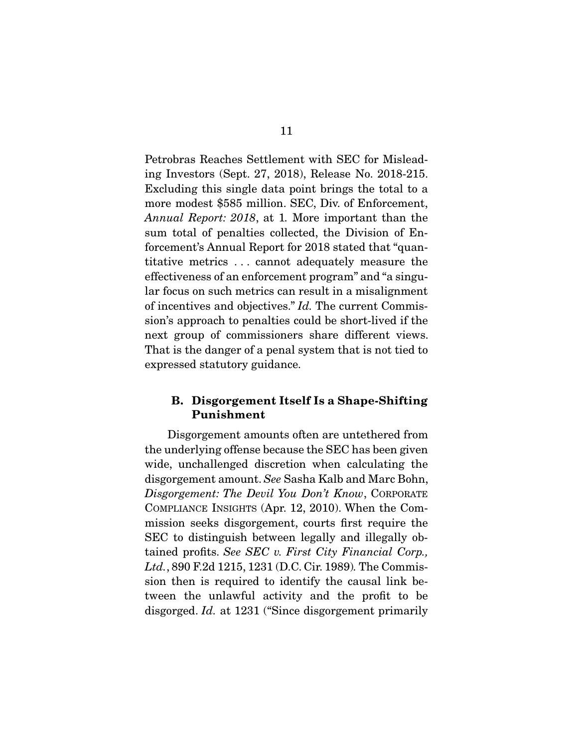Petrobras Reaches Settlement with SEC for Misleading Investors (Sept. 27, 2018), Release No. 2018-215. Excluding this single data point brings the total to a more modest \$585 million. SEC, Div. of Enforcement, *Annual Report: 2018*, at 1*.* More important than the sum total of penalties collected, the Division of Enforcement's Annual Report for 2018 stated that "quantitative metrics . . . cannot adequately measure the effectiveness of an enforcement program" and "a singular focus on such metrics can result in a misalignment of incentives and objectives." *Id.* The current Commission's approach to penalties could be short-lived if the next group of commissioners share different views. That is the danger of a penal system that is not tied to expressed statutory guidance.

### B. Disgorgement Itself Is a Shape-Shifting Punishment

 Disgorgement amounts often are untethered from the underlying offense because the SEC has been given wide, unchallenged discretion when calculating the disgorgement amount. *See* Sasha Kalb and Marc Bohn, *Disgorgement: The Devil You Don't Know*, CORPORATE COMPLIANCE INSIGHTS (Apr. 12, 2010). When the Commission seeks disgorgement, courts first require the SEC to distinguish between legally and illegally obtained profits. *See SEC v. First City Financial Corp., Ltd.*, 890 F.2d 1215, 1231 (D.C. Cir. 1989)*.* The Commission then is required to identify the causal link between the unlawful activity and the profit to be disgorged. *Id.* at 1231 ("Since disgorgement primarily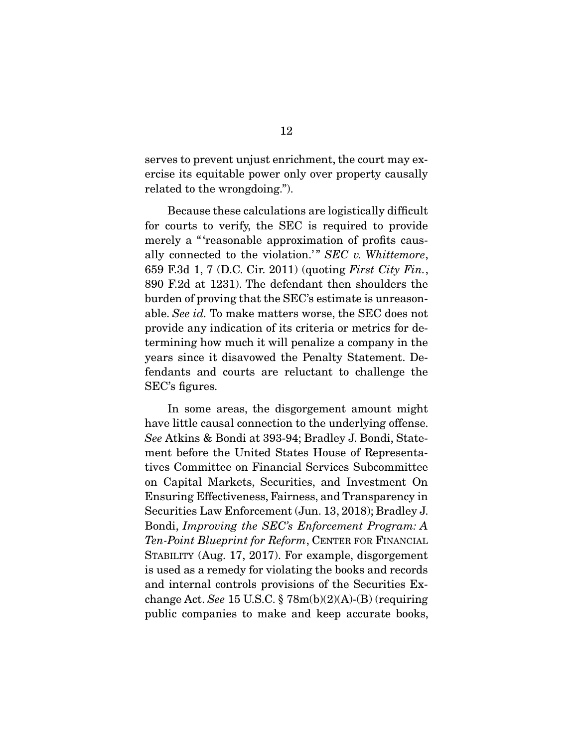serves to prevent unjust enrichment, the court may exercise its equitable power only over property causally related to the wrongdoing.").

 Because these calculations are logistically difficult for courts to verify, the SEC is required to provide merely a "'reasonable approximation of profits causally connected to the violation.'" *SEC v. Whittemore*, 659 F.3d 1, 7 (D.C. Cir. 2011) (quoting *First City Fin.*, 890 F.2d at 1231). The defendant then shoulders the burden of proving that the SEC's estimate is unreasonable. *See id.* To make matters worse, the SEC does not provide any indication of its criteria or metrics for determining how much it will penalize a company in the years since it disavowed the Penalty Statement. Defendants and courts are reluctant to challenge the SEC's figures.

 In some areas, the disgorgement amount might have little causal connection to the underlying offense. *See* Atkins & Bondi at 393-94; Bradley J. Bondi, Statement before the United States House of Representatives Committee on Financial Services Subcommittee on Capital Markets, Securities, and Investment On Ensuring Effectiveness, Fairness, and Transparency in Securities Law Enforcement (Jun. 13, 2018); Bradley J. Bondi, *Improving the SEC's Enforcement Program: A Ten-Point Blueprint for Reform*, CENTER FOR FINANCIAL STABILITY (Aug. 17, 2017). For example, disgorgement is used as a remedy for violating the books and records and internal controls provisions of the Securities Exchange Act. *See* 15 U.S.C. § 78m(b)(2)(A)-(B) (requiring public companies to make and keep accurate books,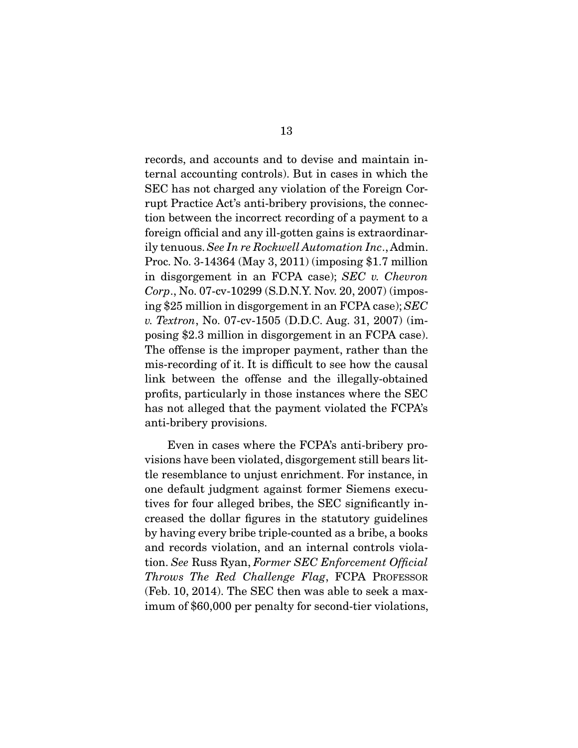records, and accounts and to devise and maintain internal accounting controls). But in cases in which the SEC has not charged any violation of the Foreign Corrupt Practice Act's anti-bribery provisions, the connection between the incorrect recording of a payment to a foreign official and any ill-gotten gains is extraordinarily tenuous. *See In re Rockwell Automation Inc*., Admin. Proc. No. 3-14364 (May 3, 2011) (imposing \$1.7 million in disgorgement in an FCPA case); *SEC v. Chevron Corp*., No. 07-cv-10299 (S.D.N.Y. Nov. 20, 2007) (imposing \$25 million in disgorgement in an FCPA case); *SEC v. Textron*, No. 07-cv-1505 (D.D.C. Aug. 31, 2007) (imposing \$2.3 million in disgorgement in an FCPA case). The offense is the improper payment, rather than the mis-recording of it. It is difficult to see how the causal link between the offense and the illegally-obtained profits, particularly in those instances where the SEC has not alleged that the payment violated the FCPA's anti-bribery provisions.

 Even in cases where the FCPA's anti-bribery provisions have been violated, disgorgement still bears little resemblance to unjust enrichment. For instance, in one default judgment against former Siemens executives for four alleged bribes, the SEC significantly increased the dollar figures in the statutory guidelines by having every bribe triple-counted as a bribe, a books and records violation, and an internal controls violation. *See* Russ Ryan, *Former SEC Enforcement Official Throws The Red Challenge Flag*, FCPA PROFESSOR (Feb. 10, 2014). The SEC then was able to seek a maximum of \$60,000 per penalty for second-tier violations,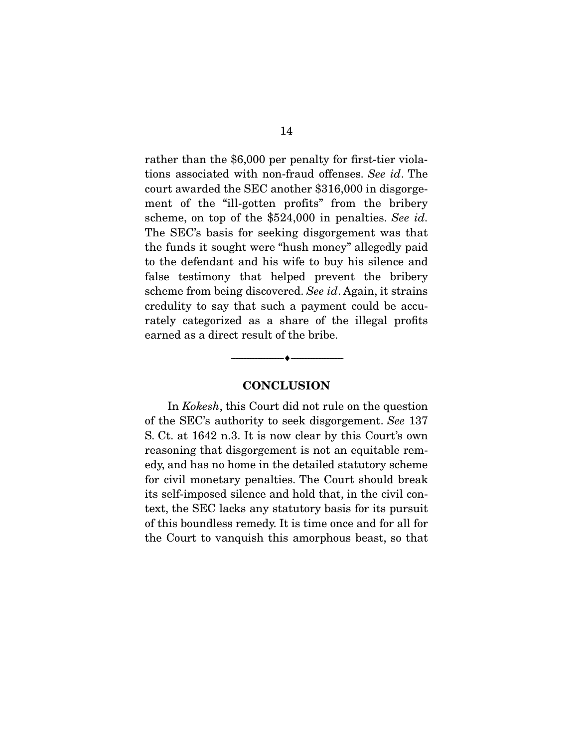rather than the \$6,000 per penalty for first-tier violations associated with non-fraud offenses. *See id*. The court awarded the SEC another \$316,000 in disgorgement of the "ill-gotten profits" from the bribery scheme, on top of the \$524,000 in penalties. *See id.*  The SEC's basis for seeking disgorgement was that the funds it sought were "hush money" allegedly paid to the defendant and his wife to buy his silence and false testimony that helped prevent the bribery scheme from being discovered. *See id*. Again, it strains credulity to say that such a payment could be accurately categorized as a share of the illegal profits earned as a direct result of the bribe.

#### **CONCLUSION**

--------------------------------- ---------------------------------

 In *Kokesh*, this Court did not rule on the question of the SEC's authority to seek disgorgement. *See* 137 S. Ct. at 1642 n.3. It is now clear by this Court's own reasoning that disgorgement is not an equitable remedy, and has no home in the detailed statutory scheme for civil monetary penalties. The Court should break its self-imposed silence and hold that, in the civil context, the SEC lacks any statutory basis for its pursuit of this boundless remedy. It is time once and for all for the Court to vanquish this amorphous beast, so that